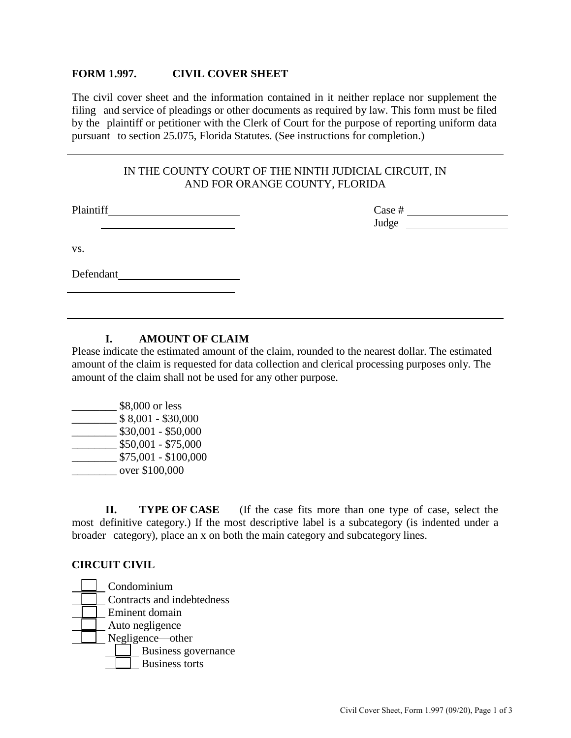#### **FORM 1.997. EXAMEL COVER SHEET**

 The civil cover sheet and the information contained in it neither replace nor supplement the filing and service of pleadings or other documents as required by law. This form must be filed by the plaintiff or petitioner with the Clerk of Court for the purpose of reporting uniform data pursuant to section 25.075, Florida Statutes. (See instructions for completion.)

### IN THE COUNTY COURT OF THE NINTH JUDICIAL CIRCUIT, IN AND FOR ORANGE COUNTY, FLORIDA

Plaintiff Case #

Judge

vs.

Defendant

## **I. AMOUNT OF CLAIM**

 Please indicate the estimated amount of the claim, rounded to the nearest dollar. The estimated amount of the claim is requested for data collection and clerical processing purposes only. The amount of the claim shall not be used for any other purpose.

 \_\_\_\_\_\_\_\_ over \$100,000  $\frac{\$8,001 - $30,000}{}$  $\frac{\$75,001 - \$100,000}{$ **Example 188,000 or less**  $\frac{\$30,001 - \$50,000}{\$}$  $\frac{\$50,001 - \$75,000}{\$}$ 

**TYPE OF CASE**  most definitive category.) If the most descriptive label is a subcategory (is indented under a broader category), place an x on both the main category and subcategory lines. **II.** TYPE OF CASE (If the case fits more than one type of case, select the

#### **CIRCUIT CIVIL**

Condominium Condominium Contracts and indebtedness Eminent domain Auto negligence Business governance Business torts Negligence—other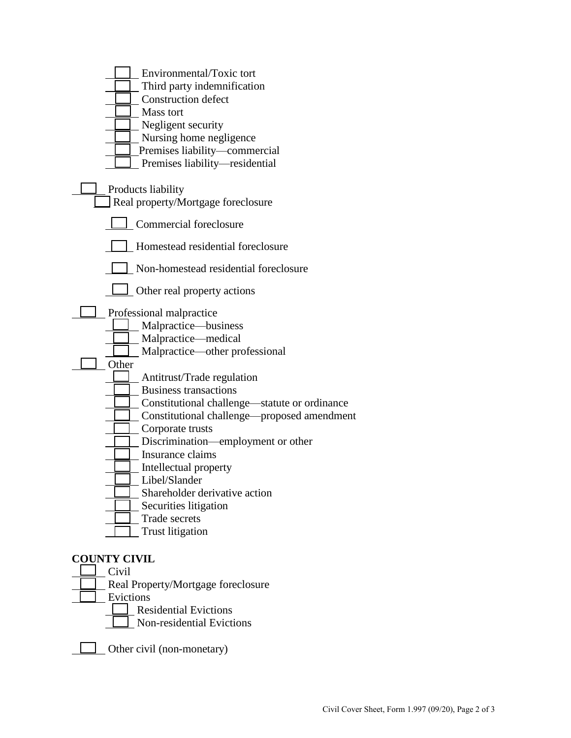| Environmental/Toxic tort                      |
|-----------------------------------------------|
| Third party indemnification                   |
| <b>Construction defect</b>                    |
| Mass tort                                     |
| Negligent security                            |
| Nursing home negligence                       |
| Premises liability-commercial                 |
| Premises liability-residential                |
|                                               |
| Products liability                            |
| Real property/Mortgage foreclosure            |
|                                               |
| Commercial foreclosure                        |
| Homestead residential foreclosure             |
| Non-homestead residential foreclosure         |
| Other real property actions                   |
| Professional malpractice                      |
| Malpractice-business                          |
| Malpractice-medical                           |
| Malpractice—other professional                |
| Other                                         |
| Antitrust/Trade regulation                    |
| <b>Business transactions</b>                  |
| Constitutional challenge—statute or ordinance |
| Constitutional challenge—proposed amendment   |
| Corporate trusts                              |
| Discrimination—employment or other            |
| Insurance claims                              |
| Intellectual property                         |
| Libel/Slander                                 |
| Shareholder derivative action                 |
| Securities litigation                         |
| Trade secrets                                 |
| <b>Trust litigation</b>                       |
|                                               |
| <b>COUNTY CIVIL</b>                           |
| Civil                                         |
| Real Property/Mortgage foreclosure            |
| Evictions                                     |
| <b>Residential Evictions</b>                  |
| Non-residential Evictions                     |

Other civil (non-monetary)